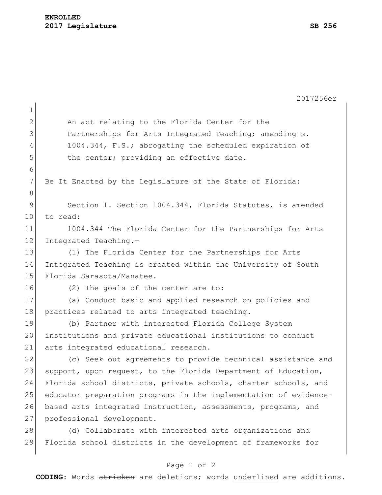|                | 2017256er                                                        |
|----------------|------------------------------------------------------------------|
| $\mathbf 1$    |                                                                  |
| $\overline{2}$ | An act relating to the Florida Center for the                    |
| 3              | Partnerships for Arts Integrated Teaching; amending s.           |
| 4              | 1004.344, F.S.; abrogating the scheduled expiration of           |
| 5              | the center; providing an effective date.                         |
| 6              |                                                                  |
| $7\phantom{.}$ | Be It Enacted by the Legislature of the State of Florida:        |
| 8              |                                                                  |
| $\mathsf 9$    | Section 1. Section 1004.344, Florida Statutes, is amended        |
| 10             | to read:                                                         |
| 11             | 1004.344 The Florida Center for the Partnerships for Arts        |
| 12             | Integrated Teaching.-                                            |
| 13             | (1) The Florida Center for the Partnerships for Arts             |
| 14             | Integrated Teaching is created within the University of South    |
| 15             | Florida Sarasota/Manatee.                                        |
| 16             | (2) The goals of the center are to:                              |
| 17             | (a) Conduct basic and applied research on policies and           |
| 18             | practices related to arts integrated teaching.                   |
| 19             | (b) Partner with interested Florida College System               |
| 20             | institutions and private educational institutions to conduct     |
| 21             | arts integrated educational research.                            |
| 22             | (c) Seek out agreements to provide technical assistance and      |
| 23             | support, upon request, to the Florida Department of Education,   |
| 24             | Florida school districts, private schools, charter schools, and  |
| 25             | educator preparation programs in the implementation of evidence- |
| 26             | based arts integrated instruction, assessments, programs, and    |
| 27             | professional development.                                        |
| 28             | (d) Collaborate with interested arts organizations and           |
| 29             | Florida school districts in the development of frameworks for    |
|                |                                                                  |

## Page 1 of 2

**CODING**: Words stricken are deletions; words underlined are additions.